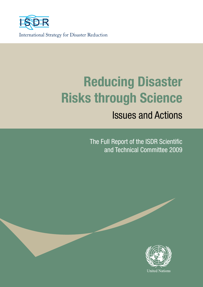

International Strategy for Disaster Reduction

# **Reducing Disaster Risks through Science**

## Issues and Actions

The Full Report of the ISDR Scientific and Technical Committee 2009

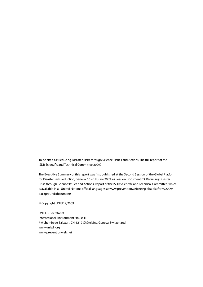To be cited as "Reducing Disaster Risks through Science: Issues and Actions, The full report of the ISDR Scientific and Technical Committee 2009".

The Executive Summary of this report was first published at the Second Session of the Global Platform for Disaster Risk Reduction, Geneva, 16 – 19 June 2009, as Session Document 03, Reducing Disaster Risks through Science: Issues and Actions, Report of the ISDR Scientific and Technical Committee, which is available in all United Nations official languages at www.preventionweb.net/globalplatform/2009/ background/documents

© Copyright UNISDR, 2009

UNISDR Secretariat International Environment House II 7-9 chemin de Balexert, CH-1219 Châtelaine, Geneva, Switzerland www.unisdr.org www.preventionweb.net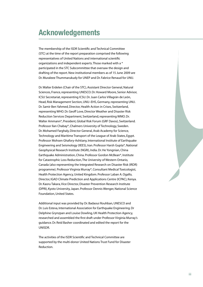### **Acknowledgements**

The membership of the ISDR Scientific and Technical Committee (STC) at the time of the report preparation comprised the following representatives of United Nations and international scientific organizations and independent experts. Those marked with a \* participated in the STC Subcommittee that oversaw the design and drafting of the report. New institutional members as of 15 June 2009 are Dr. Muraleee Thummarukudy for UNEP and Dr. Fabrice Renaud for UNU.

Dr. Walter Erdelen (Chair of the STC), Assistant Director General, Natural Sciences, France, representing UNESCO. Dr. Howard Moore, Senior Advisor, ICSU Secretariat, representing ICSU. Dr. Juan Carlos Villagrán de León, Head, Risk Management Section, UNU–EHS, Germany, representing UNU. Dr. Samir Ben Yahmed, Director, Health Action in Crises, Switzerland, representing WHO. Dr. Geoff Love, Director Weather and Disaster Risk Reduction Services Department, Switzerland, representing WMO. Dr. Walter Ammann\*, President, Global Risk Forum (GRF Davos), Switzerland. Professor Ilan Chabay\*, Chalmers University of Technology, Sweden. Dr. Mohamed Farghaly, Director General, Arab Academy for Science, Technology and Maritime Transport of the League of Arab States, Egypt. Professor Mohsen Ghafory-Ashtiany, International Institute of Earthquake Engineering and Seismology (IIEES), Iran. Professor Harsh Gupta\*, National Geophysical Research Institute (NGRI), India. Dr. He Yongnian, China Earthquake Administration, China. Professor Gordon McBean\*, Institute for Catastrophic Loss Reduction, The University of Western Ontario, Canada (also representing the Integrated Research on Disaster Risk (IRDR) programme). Professor Virginia Murray\*, Consultant Medical Toxicologist, Health Protection Agency, United Kingdom. Professor Laban A. Ogallo, Director, IGAD Climate Prediction and Applications Centre (ICPAC), Kenya. Dr. Kaoru Takara, Vice Director, Disaster Prevention Research Institute (DPRI), Kyoto University, Japan. Professor Dennis Wenger, National Science Foundation, United States.

Additional input was provided by Dr. Badaoui Rouhban, UNESCO and Dr. Luis Esteva, International Association for Earthquake Engineering. Dr Delphine Grynzpan and Louise Dowling, UK Health Protection Agency, researched and assembled the first draft under Professor Virginia Murray's guidance. Dr. Reid Basher coordinated and edited the report for the UNISDR.

The activities of the ISDR Scientific and Technical Committee are supported by the multi-donor United Nations Trust Fund for Disaster Reduction.

**iii**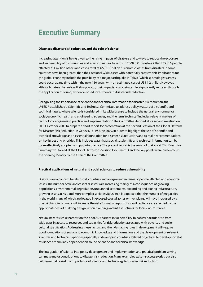### **Executive Summary**

#### **Disasters, disaster risk reduction, and the role of science**

Increasing attention is being given to the rising impacts of disasters and to ways to reduce the exposure and vulnerability of communities and assets to natural hazards. In 2008, 321 disasters killed 235,816 people, affected 211 million others and cost a total of US\$ 181 billion.1 Economic losses from disasters in some countries have been greater than their national GDP. Losses with potentially catastrophic implications for the global economy include the possibility of a major earthquake in Tokyo (which seismologists assess could occur at any time within the next 150 years) with an estimated cost of US\$ 1.2 trillion. However, although natural hazards will always occur, their impacts on society can be significantly reduced through the application of sound, evidence-based investments in disaster risk reduction.

Recognising the importance of scientific and technical information for disaster risk reduction, the UNISDR established a Scientific and Technical Committee to address policy matters of a scientific and technical nature, where science is considered in its widest sense to include the natural, environmental, social, economic, health and engineering sciences, and the term 'technical' includes relevant matters of technology, engineering practice and implementation.2 The Committee decided at its second meeting on 30-31 October 2008 to prepare a short report for presentation at the Second Session of the Global Platform for Disaster Risk Reduction, in Geneva, 16-19 June 2009, in order to highlight the use of scientific and technical knowledge as an essential foundation for disaster risk reduction, and to make recommendations on key issues and priorities. This includes ways that specialist scientific and technical information can be more effectively adopted and put into practice. The present report is the result of that effort. This Executive Summary was tabled at the Global Platform as Session Document 3 and the key points were presented in the opening Plenary by the Chair of the Committee.

#### **Practical applications of natural and social sciences to reduce vulnerability**

Disasters are a concern for almost all countries and are growing in terms of people affected and economic losses. The number, scale and cost of disasters are increasing mainly as a consequence of growing populations, environmental degradation, unplanned settlements, expanding and ageing infrastructure, growing assets at risk, and more complex societies. By 2050 it is expected that the number of megacities in the world, many of which are located in exposed coastal zones or river plains, will have increased by a third. A changing climate will increase the risks for many regions. Risk and resilience are affected by the appropriateness of building design, urban planning and infrastructures for local circumstances.

Natural hazards strike hardest on the poor.<sup>3</sup> Disparities in vulnerability to natural hazards arise from wide gaps in access to resources and capacities for risk reduction associated with poverty and sociocultural stratification. Addressing these factors and their damaging roles in development will require good foundations of social and economic knowledge and information, and the development of relevant scientific and technical capacities especially in developing countries. Related objectives to develop societal resilience are similarly dependent on sound scientific and technical knowledge.

The integration of science into policy development and implementation and practical problem solving can make major contributions to disaster risk reduction. Many examples exist—success stories but also failures—that reveal the importance of science and technology to disaster risk reduction.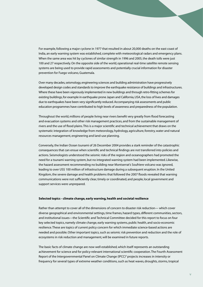For example, following a major cyclone in 1977 that resulted in about 20,000 deaths on the east coast of India, an early warning system was established, complete with meteorological radars and emergency plans. When the same area was hit by cyclones of similar strength in 1996 and 2005, the death tolls were just 100 and 27 respectively. On the opposite side of the world, operational real-time satellite remote sensing systems are being used to provide rapid assessments and potentially crucial information for disaster prevention for Fuego volcano, Guatemala.

Over many decades, seismology, engineering sciences and building administration have progressively developed design codes and standards to improve the earthquake resistance of buildings and infrastructures. Where these have been vigorously implemented in new buildings and through retro-fitting schemes for existing buildings, for example in earthquake prone Japan and California, USA, the loss of lives and damages due to earthquakes have been very significantly reduced. Accompanying risk assessments and public education programmes have contributed to high levels of awareness and preparedness of the population.

Throughout the world, millions of people living near rivers benefit very greatly from flood forecasting and evacuation systems and other risk management practices, and from the sustainable management of rivers and the use of flood plains. This is a major scientific and technical achievement that draws on the systematic integration of knowledge from meteorology, hydrology, agriculture, forestry, water and natural resources management, engineering and land-use planning.

Conversely, the Indian Ocean tsunami of 26 December 2004 provides a stark reminder of the catastrophic consequences that can ensue when scientific and technical findings are not transferred into policies and actions. Seismologists understood the seismic risks of the region and oceanographers had promoted the need for a tsunami warning system, but no integrated warning system had been implemented. Likewise, the hazard assessment recommending no building near Montserrat's Soufriere volcano was ignored, leading to over US\$ 100 million of infrastructure damage during a subsequent eruption. In the United Kingdom, the severe damage and health problems that followed the 2007 floods revealed that warning communications were not sufficiently clear, timely or coordinated, and people, local government and support services were unprepared.

#### **Selected topics - climate change, early warning, health and societal resilience**

Rather than attempt to cover all of the dimensions of concern to disaster risk reduction— which cover diverse geographical and environmental settings, time frames, hazard types, different communities, sectors, and institutional issues—the Scientific and Technical Committee decided for this report to focus on four key selected topics, namely climate change, early warning systems, public health, and socio-economic resilience. These are topics of current policy concern for which immediate science-based actions are needed and possible. Other important topics, such as seismic risk prevention and reduction and the role of ecosystems in risk reduction and management, will be examined in future reports.

The basic facts of climate change are now well established, which itself represents an outstanding achievement for science and for policy-relevant international scientific cooperation. The Fourth Assessment Report of the Intergovernmental Panel on Climate Change (IPCC)<sup>4</sup> projects increases in intensity or frequency for several types of extreme weather conditions, such as heat waves, droughts, storms, tropical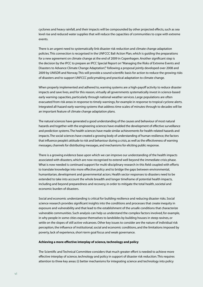cyclones and heavy rainfall, and their impacts will be compounded by other projected effects, such as sea level rise and reduced water supplies that will reduce the capacities of communities to cope with extreme events.

There is an urgent need to systematically link disaster risk reduction and climate change adaptation policies. This connection is recognised in the UNFCCC Bali Action Plan, which is guiding the preparations for a new agreement on climate change at the end of 2009 in Copenhagen. Another significant step is the decision by the IPCC to prepare an IPCC Special Report on "Managing the Risks of Extreme Events and Disasters to Advance Climate Change Adaptation", following a proposal jointly developed over 2008 and 2009 by UNISDR and Norway. This will provide a sound scientific basis for action to reduce the growing risks of disasters and to support UNFCCC policymaking and practical adaptation to climate change.

When properly implemented and adhered to, warning systems are a high-payoff activity to reduce disaster impacts and save lives, and for this reason, virtually all governments systematically invest in science-based early warning capacities, particularly through national weather services. Large populations are often evacuated from risk areas in response to timely warnings, for example in response to tropical cyclone alerts. Integrated all-hazard early warning systems that address time scales of minutes through to decades will be an important feature of climate change adaptation plans.

The natural sciences have generated a good understanding of the causes and behaviour of most natural hazards and together with the engineering sciences have enabled the development of effective surveillance and prediction systems. The health sciences have made similar achievements for health-related hazards and impacts. The social sciences have created a growing body of understanding of human resilience, the factors that influence people's attitude to risk and behaviour during a crisis, as well as the effectiveness of warning messages, channels for distributing messages, and mechanisms for eliciting public response.

There is a growing evidence base upon which we can improve our understanding of the health impacts associated with disasters, which are now recognised to extend well beyond the immediate crisis phase. What is now needed is continued support for multi-disciplinary research in this field coupled with efforts to translate knowledge into more effective policy and to bridge the gaps between environmental, humanitarian, development and governmental actors. Health sector responses to disasters need to be extended to take into account the whole breadth and longer timeframe of potential health impacts, including and beyond preparedness and recovery, in order to mitigate the total health, societal and economic burden of disasters.

Social and economic understanding is critical for building resilience and reducing disaster risks. Social science research provides significant insights into the conditions and processes that create inequity in exposure and vulnerability and that lead to the establishment of the unsafe conditions that characterize vulnerable communities. Such analysis can help us understand the complex factors involved, for example, in why people in some cities expose themselves to landslides by building houses in steep ravines, or settle on the slopes of still active volcanoes. Other key issues to consider are the nature of individual risk perception, the influence of institutional, social and economic conditions, and the limitations imposed by poverty, lack of experience, short-term goal focus and weak governance.

#### **Achieving a more effective interplay of science, technology and policy**

The Scientific and Technical Committee considers that much greater effort is needed to achieve more effective interplay of science, technology and policy in support of disaster risk reduction. This requires attention to three key areas: (i) better mechanisms for integrating science and technology into policy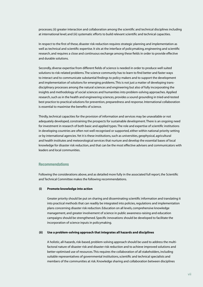processes; (ii) greater interaction and collaboration among the scientific and technical disciplines including at international level; and (iii) systematic efforts to build relevant scientific and technical capacities.

In respect to the first of these, disaster risk reduction requires strategic planning and implementation as well as technical and scientific expertise. It sits at the interface of policymaking, engineering and scientific research, and requires a close and continuous exchange among these fields in order to provide effective and durable solutions.

Secondly, diverse expertise from different fields of science is needed in order to produce well suited solutions to risk-related problems. The science community has to learn to find better and faster ways to interact and to communicate substantial findings to policy makers and to support the development and implementation of solutions for emerging problems. This is not just a matter of developing transdisciplinary processes among the natural sciences and engineering but also of fully incorporating the insights and methodology of social sciences and humanities into problem-solving approaches. Applied research, such as in the health and engineering sciences, provides a sound grounding in tried-and-tested best practice to practical solutions for prevention, preparedness and response. International collaboration is essential to maximise the benefits of science.

Thirdly, technical capacities for the provision of information and services may be unavailable or not adequately developed, constraining the prospects for sustainable development. There is an ongoing need for investment in research of both basic and applied types. The role and expertise of scientific institutions in developing countries are often not well recognised or supported, either within national priority setting or by international agencies. Yet it is these institutions, such as universities, geophysical, agricultural and health institutes and meteorological services that nurture and develop the essential bases of local knowledge for disaster risk reduction, and that can be the most effective advisers and communicators with leaders and local communities.

#### **Recommendations**

Following the considerations above, and as detailed more fully in the associated full report, the Scientific and Technical Committee makes the following recommendations.

#### **(i) Promote knowledge into action**

Greater priority should be put on sharing and disseminating scientific information and translating it into practical methods that can readily be integrated into policies, regulations and implementation plans concerning disaster risk reduction. Education on all levels, comprehensive knowledge management, and greater involvement of science in public awareness-raising and education campaigns should be strengthened. Specific innovations should be developed to facilitate the incorporation of science inputs in policymaking.

#### **(ii) Use a problem-solving approach that integrates all hazards and disciplines**

A holistic, all-hazards, risk-based, problem-solving approach should be used to address the multifactoral nature of disaster risk and disaster risk reduction and to achieve improved solutions and better-optimised use of resources. This requires the collaboration of all stakeholders, including suitable representatives of governmental institutions, scientific and technical specialists and members of the communities at risk. Knowledge sharing and collaboration between disciplines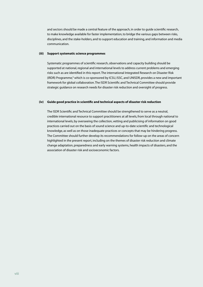and sectors should be made a central feature of the approach, in order to guide scientific research, to make knowledge available for faster implementation, to bridge the various gaps between risks, disciplines, and the stake-holders, and to support education and training, and information and media communication.

#### **(iii) Support systematic science programmes**

Systematic programmes of scientific research, observations and capacity building should be supported at national, regional and international levels to address current problems and emerging risks such as are identified in this report. The international Integrated Research on Disaster Risk (IRDR) Programme,<sup>6</sup> which is co-sponsored by ICSU, ISSC, and UNISDR, provides a new and important framework for global collaboration. The ISDR Scientific and Technical Committee should provide strategic guidance on research needs for disaster risk reduction and oversight of progress.

#### **(iv) Guide good practice in scientific and technical aspects of disaster risk reduction**

The ISDR Scientific and Technical Committee should be strengthened to serve as a neutral, credible international resource to support practitioners at all levels, from local through national to international levels, by overseeing the collection, vetting and publicising of information on good practices carried out on the basis of sound science and up-to-date scientific and technological knowledge, as well as on those inadequate practices or concepts that may be hindering progress. The Committee should further develop its recommendations for follow-up on the areas of concern highlighted in the present report, including on the themes of disaster risk reduction and climate change adaptation, preparedness and early warning systems, health impacts of disasters, and the association of disaster risk and socioeconomic factors.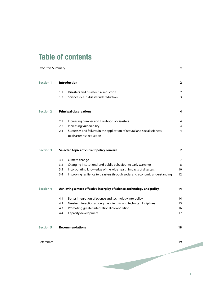### **Table of contents**

| <b>Executive Summary</b> |                                                                        |                                                                                                        | iv             |
|--------------------------|------------------------------------------------------------------------|--------------------------------------------------------------------------------------------------------|----------------|
| <b>Section 1</b>         | <b>Introduction</b>                                                    |                                                                                                        | $\overline{2}$ |
|                          | 1.1                                                                    | Disasters and disaster risk reduction                                                                  | 2              |
|                          | 1.2                                                                    | Science role in disaster risk reduction                                                                | 3              |
| <b>Section 2</b>         | <b>Principal observations</b>                                          |                                                                                                        | 4              |
|                          | 2.1                                                                    | Increasing number and likelihood of disasters                                                          | 4              |
|                          | 2.2                                                                    | Increasing vulnerability                                                                               | 4              |
|                          | 2.3                                                                    | Successes and failures in the application of natural and social sciences<br>to disaster risk reduction | 4              |
| <b>Section 3</b>         | Selected topics of current policy concern                              |                                                                                                        | $\overline{ }$ |
|                          | 3.1                                                                    | Climate change                                                                                         | 7              |
|                          | 3.2                                                                    | Changing institutional and public behaviour to early warnings                                          | 8              |
|                          | 3.3                                                                    | Incorporating knowledge of the wide health impacts of disasters                                        | 10             |
|                          | 3.4                                                                    | Improving resilience to disasters through social and economic understanding                            | 12             |
| <b>Section 4</b>         | Achieving a more effective interplay of science, technology and policy |                                                                                                        | 14             |
|                          | 4.1                                                                    | Better integration of science and technology into policy                                               | 14             |
|                          | 4.2                                                                    | Greater interaction among the scientific and technical disciplines                                     | 15             |
|                          | 4.3                                                                    | Promoting greater international collaboration                                                          | 16             |
|                          | 4.4                                                                    | Capacity development                                                                                   | 17             |
| <b>Section 5</b>         | <b>Recommendations</b>                                                 |                                                                                                        | 18             |

#### esterne de la contradición de la contradición de la contradición de la contradición de la contradición de la contradición de la contradición de la contradición de la contradición de la contradición de la contradición de la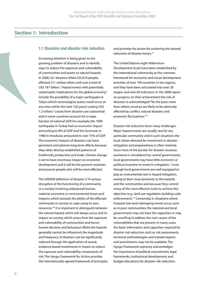#### **Section 1: Introduction**

#### **1.1 Disasters and disaster risk reduction**

Increasing attention is being given to the growing problem of disasters and to identify ways to reduce the exposure and vulnerability of communities and assets to natural hazards. In 2008, 321 disasters killed 235,816 people, affected 211 million others and cost a total of US\$ 181 billion.<sup>1</sup> Hazard events with potentially catastrophic implications for the global economy<sup>7</sup> include the possibility of a major earthquake in Tokyo (which seismologists assess could occur at any time within the next 150 years) costing US\$ 1.2 trillion.<sup>8</sup> Losses from disasters are substantial and in some countries account for a major fraction of national GDP. For example, the 1999 earthquake in Turkey had an economic impact amounting to 8% of GDP and the hurricane in 1998 in Honduras amounted to over 75% of GDP. The economic impacts of disasters can have persistent and adverse long-term effects because they often destroy established patterns of livelihoods, production and trade. Climate change is set to have enormous impact on economic development and it will be the poorest countries and poorest people who will be most affected.

The UNISDR definition of disaster is "A serious disruption of the functioning of a community or a society involving widespread human, material, economic or environmental losses and impacts, which exceeds the ability of the affected community or society to cope using its own resources."9 It is important to distinguish between the natural hazard, which will always occur, and its impact on society, which arises from the exposure and vulnerability of communities and hence human decision and behaviour. While the hazards generally cannot be influenced, the magnitude and frequency of disasters can be significantly reduced through the application of sound, evidence-based investments in means to reduce the exposure and vulnerability components of risk. The Hyogo Framework for Action provides the internationally agreed framework of principles and priorities for action for achieving the desired reduction of disaster losses.10

The United Nations eight Millennium Development Goals have been established by the international community as the common framework for economic and social development activities of over 190 countries in ten regions, and they have been articulated into over 20 targets and over 60 indicators. In the 2008 report on progress on their achievement the role of disasters is acknowledged: "for the poor more than others, incomes are likely to be adversely affected by conflict, natural disasters and economic fluctuations."11

Disaster risk reduction faces many challenges. Major hazard events are usually rare for any particular community and in such situations the local citizen demand for investment in disaster mitigation and preparedness is often minimal. Since most of the burden for disaster recovery assistance is shouldered by central governments, local governments may have little economic or political incentive to invest in mitigation,<sup>12</sup> even though local governments are well equipped to play an instrumental role in hazard mitigation, owing to their close proximity to the hazards and the communities and because they control many of the most effective tools to achieve this objective (e.g., land use regulation, building code enforcement).<sup>13</sup> Conversely, in situations where frequent low-level damaging events occur, such as in poor communities, the national and local governments may not have the capacities or may be unwilling to address the root causes of the vulnerabilities that are present. In many cases the basic information and capacities required for disaster risk reduction, such as risk assessments, technical methodologies and trained experts and practitioners, may not be available. The Hyogo Framework expressly acknowledges the importance of political commitment, legal frameworks, institutional development, and budget allocations for disaster risk reduction.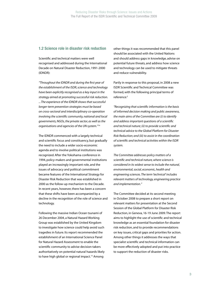#### **1.2 Science role in disaster risk reduction**

Scientific and technical matters were well recognised and addressed during the International Decade on Natural Disaster Reduction, 1991-2000 (IDNDR):

*"Throughout the IDNDR and during the first year of the establishment of the ISDR, science and technology have been explicitly recognised as a key input in the strategy aimed at promoting successful risk reduction. ... The experience of the IDNDR shows that successful longer-term prevention strategies must be based on cross-sectoral and interdisciplinary co-operation involving the scientific community, national and local governments, NGOs, the private sector, as well as the organisations and agencies of the UN system."*<sup>14</sup>

The IDNDR commenced with a largely technical and scientific focus and constituency, but gradually the need to include a wider socio-economic agenda and to involve political institutions was recognized. After the Yokohama conference in 1994, policy-makers and governmental institutions played an increasingly important role, and the issues of advocacy and political commitment became features of the International Strategy for Disaster Risk Reduction that was established in 2000 as the follow-up mechanism to the Decade. In recent years, however, there has been a concern that these shifts have been accompanied by a decline in the recognition of the role of science and technology.

Following the massive Indian Ocean tsunami of 26 December 2004, a Natural Hazard Working Group was established by the United Kingdom to investigate how science could help avoid such tragedies in future. Its report recommended the establishment of an International Science Panel for Natural Hazard Assessment to enable the scientific community to advise decision-takers authoritatively on potential natural hazards likely to have high global or regional impact.<sup>15</sup> Among

other things it was recommended that this panel should be associated with the United Nations and should address gaps in knowledge, advise on potential future threats, and address how science and technology can be used to mitigate threats and reduce vulnerability.

Partly in response to this proposal, in 2008 a new ISDR Scientific and Technical Committee was formed, with the following principal terms of reference:2

*"Recognizing that scientific information is the basis of informed decision making and public awareness, the main aims of the Committee are (i) to identify and address important questions of a scientific and technical nature; (ii) to provide scientific and technical advice to the Global Platform for Disaster Risk Reduction; and (iii) to assist in the coordination of scientific and technical activities within the ISDR system.* 

*The Committee addresses policy matters of a scientific and technical nature, where science is considered in its widest sense to include the natural, environmental, social, economic, health and engineering sciences. The term 'technical' includes relevant matters of technology, engineering practice and implementation."*

The Committee decided at its second meeting in October 2008 to prepare a short report on relevant matters for presentation at the Second Session of the Global Platform for Disaster Risk Reduction, in Geneva, 16-19 June 2009. The report aims to highlight the use of scientific and technical knowledge as an essential foundation for disaster risk reduction, and to provide recommendations on key issues, critical gaps and priorities for action. Among other things it addresses the ways that specialist scientific and technical information can be more effectively adopted and put into practice to support the reduction of disaster risks.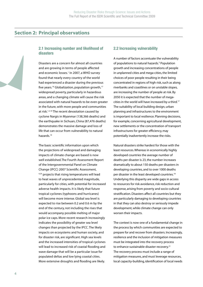#### **Section 2: Principal observations**

#### **2.1 Increasing number and likelihood of disasters**

Disasters are a concern for almost all countries and are growing in terms of people affected and economic losses.<sup>1</sup> In 2007, a WHO survey found that nearly every country of the world had experienced a disaster during the previous five years.<sup>16</sup> Globalization, population growth,<sup>17</sup> widespread poverty, particularly in hazardous areas, and a changing climate will cause the risk associated with natural hazards to be even greater in the future, with more people and communities at risk.<sup>1,3,18</sup> The recent devastation caused by cyclone Nargis in Myanmar (138,366 deaths) and the earthquake in Sichuan, China (87,476 deaths) demonstrates the massive damage and loss of life that can occur from vulnerability to natural hazards.19

The basic scientific information upon which the projections of widespread and damaging impacts of climate change are based is now well established.The Fourth Assessment Report of the Intergovernmental Panel on Climate Change (IPCC) 2007 Scientific Assessment, 4,20 projects that rising temperatures will lead to heat waves of unprecedented magnitude, particularly for cities, with potential for increased adverse health impacts. It is likely that future tropical cyclones (typhoons and hurricanes) will become more intense. Global sea level is expected to rise between 0.2 and 0.6 m by the end of the century, not including the rises that would accompany possible melting of major polar ice caps. More recent research increasingly indicates the possibility of greater sea level changes than projected by the IPCC. The likely impacts on ecosystems and human society, and for disaster risk, are significant. High sea levels and the increased intensities of tropical cyclones will lead to increased risk of coastal flooding and wave damage that will be a particular issue for populated deltas and low lying coastal cities. More extensive droughts and flooding are likely.

#### **2.2 Increasing vulnerability**

A number of factors accentuate the vulnerability of populations to natural hazards.<sup>3</sup> Population growth and increasing concentrations of people in unplanned cities and mega-cities, the limited choices of poor people resulting in their being concentrated in regions of high risk, such as along riverbanks and coastlines or on unstable slopes, are increasing the number of people at risk. By 2050 it is expected that the number of megacities in the world will have increased by a third.<sup>17</sup> The suitability of local building design, urban planning and infrastructures to the environment is important to local resilience. Planning decisions, for example, concerning agricultural development, new settlements or the concentration of transport infrastructures for greater efficiency, may potentially inadvertently increase the risks.

Natural disasters strike hardest for those with the least resources. Whereas in economically highly developed countries the average number of deaths per disaster is 23, the number increases dramatically to about 150 deaths per disasters in developing countries, and to over 1000 deaths per disaster in the least developed countries.<sup>18</sup> Underlying this disparity are wide gaps in access to resources for risk avoidance, risk reduction and response, arising from poverty and socio-cultural stratification. Disasters affect all countries but they are particularly damaging to developing countries in that they can also destroy or seriously impede development, while climate change can only worsen their impacts.

The context is now one of a fundamental change in the process by which communities are expected to prepare for and recover from disasters. Increasingly, resilience and the inclusion of mitigation measures must be integrated into the recovery process to enhance sustainable disaster recovery.<sup>21</sup> The recovery process must include a range of mitigation measures, and must leverage resources, local capacity-building, identification of local needs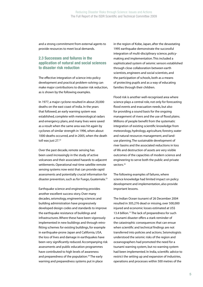and a strong commitment from external agents to provide resources to meet local demands.

#### **2.3 Successes and failures in the application of natural and social sciences to disaster risk reduction**

The effective integration of science into policy development and practical problem-solving can make major contributions to disaster risk reduction, as is shown by the following examples.

In 1977, a major cyclone resulted in about 20,000 deaths on the east coast of India. In the years that followed, an early warning system was established, complete with meteorological radars and emergency plans, and many lives were saved as a result when the same area was hit again by cyclones of similar strength in 1996, when about 1000 deaths occurred, and in 2005, when the death toll was just 27.<sup>22</sup>

Over the past decade, remote sensing has been used increasingly in the study of active volcanoes and their associated hazards to adjacent settlements. Operational real-time satellite remote sensing systems now exist that can provide rapid assessments and potentially crucial information for disaster prevention, such as for Fuego, Guatemala.<sup>23</sup>

Earthquake science and engineering provides another excellent success story. Over many decades, seismology, engineering sciences and building administration have progressively developed design codes and standards to improve the earthquake resistance of buildings and infrastructures. Where these have been vigorously implemented in new buildings and through retrofitting schemes for existing buildings, for example in earthquake-prone Japan and California, USA, the loss of lives and damage in earthquakes have been very significantly reduced. Accompanying risk assessments and public education programmes have contributed to high levels of awareness and preparedness of the population.<sup>24</sup> The early warning and preparedness systems put in place

in the region of Kobe, Japan, after the devastating 1995 earthquake demonstrate the successful integration of multi-disciplinary science, policymaking and implementation. This included a sophisticated system of seismic sensors established through close collaboration between earth scientists, engineers and social scientists, and the participation of schools, both as a means of protecting pupils and as a way of educating families through their children.

Flood risk is another well-recognised area where science plays a central role, not only for forecasting flood events and evacuation needs, but also for providing a sound basis for the ongoing management of rivers and the use of flood plains. Millions of people benefit from the systematic integration of existing scientific knowledge from meteorology, hydrology, agriculture, forestry, water and natural resources management, and landuse planning. The sustainable development of river basins and the associated reductions in loss of life and destruction of assets are very visible outcomes of the capacities of modern science and engineering to serve both the public and private sectors.<sup>25</sup>

The following examples of failures, where science knowledge had limited impact on policy development and implementation, also provide important lessons.

The Indian Ocean tsunami of 26 December 2004 resulted in 305,276 dead or missing, over 500,000 injured and economic losses estimated at US\$ 13.4 billion.<sup>15</sup> The lack of preparedness for such a tsunami disaster offers a stark reminder of the catastrophic consequences that can ensue when scientific and technical findings are not transferred into policies and actions. Seismologists understood the seismic risks of the region and oceanographers had promoted the need for a tsunami warning system, but no warning system had been implemented. In India, scientific advice to restrict the setting up and expansion of industries, operations and processes within 500 metres of the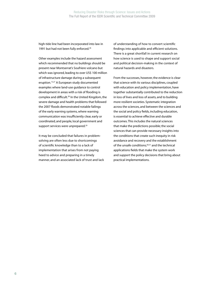high-tide line had been incorporated into law in 1991 but had not been fully enforced.<sup>26</sup>

Other examples include the hazard assessment which recommended that no buildings should be present near Montserrat's Soufriere volcano but which was ignored, leading to over US\$ 100 million of infrastructure damage during a subsequent eruption.<sup>15,27</sup> A European study documented examples where land-use guidance to control development in areas with a risk of flooding is complex and difficult.<sup>28</sup> In the United Kingdom, the severe damage and health problems that followed the 2007 floods demonstrated notable failings of the early warning systems, where warning communication was insufficiently clear, early or coordinated, and people, local government and support services were unprepared.<sup>29</sup>

It may be concluded that failures in problemsolving are often less due to shortcomings of scientific knowledge than to a lack of implementation that arises from not paying heed to advice and preparing in a timely manner, and an associated lack of trust and lack

of understanding of how to convert scientific findings into applicable and efficient solutions. There is a great shortfall in current research on how science is used to shape and support social and political decision-making in the context of natural hazards and disasters.

From the successes, however, the evidence is clear that science with its various disciplines, coupled with education and policy implementation, have together substantially contributed to the reduction in loss of lives and loss of assets, and to building more resilient societies. Systematic integration across the sciences, and between the sciences and the social and policy fields, including education, is essential to achieve effective and durable outcomes. This includes the natural sciences that make the predictions possible; the social sciences that can provide necessary insights into the conditions that create such inequity in risk avoidance and recovery and the establishment of the unsafe conditions;<sup>30,31</sup> and the technical applications fields that make the system work and support the policy decisions that bring about practical implementations.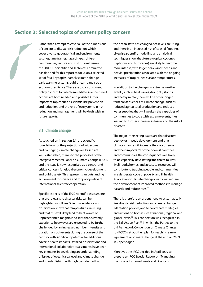#### **Section 3: Selected topics of current policy concern**



Rather than attempt to cover all of the dimensions of concern to disaster risk reduction, which cover diverse geographical and environmental settings, time frames, hazard types, different communities, sectors, and institutional issues, the UNISDR Scientific and Technical Committee has decided for this report to focus on a selected set of four key topics, namely climate change, early warning systems, public health, and socioeconomic resilience. These are topics of current policy concern for which immediate science-based actions are both needed and possible. Other important topics such as seismic risk prevention and reduction, and the role of ecosystems in risk reduction and management, will be dealt with in future reports.

#### **3.1 Climate change**

As touched on in section 2.1, the scientific foundations for the projections of widespread and damaging climate change are based are well-established, thanks to the processes of the Intergovernmental Panel on Climate Change (IPCC), and the issue is now recognised as a central and critical concern for global economic development and public safety. This represents an outstanding achievement for science and for policy-relevant international scientific cooperation.

Specific aspects of the IPCC scientific assessments that are relevant to disaster risks can be highlighted as follows. Scientific evidence and observation show that temperatures are rising and that this will likely lead to heat waves of unprecedented magnitude. Cities that currently experience heatwaves are expected to be further challenged by an increased number, intensity and duration of such events during the course of the century, with significant potential for additional adverse health impacts.Detailed observations and international collaborative assessments have been key elements in developing an understanding of issues of oceanic sea level and climate change and to establishing with high confidence that

the ocean state has changed, sea levels are rising, and there is an increased risk of coastal flooding. Likewise, scientific modelling and analytical techniques show that future tropical cyclones (typhoons and hurricanes) are likely to become more intense, with larger peak wind speeds and heavier precipitation associated with the ongoing increases of tropical sea surface temperatures.

In addition to the changes in extreme weather events, such as heat waves, droughts, storms and heavy rainfall, there will be other longer term consequences of climate change, such as reduced agricultural production and reduced water supplies, that will weaken the capacities of communities to cope with extreme events, thus leading to further increases in losses and the risk of disasters.

The major intersecting issues are that disasters destroy or impede development and that climate change will increase their occurrence and their impacts.32 For the poorest countries and communities, the consequences are likely to be especially devastating: the threat to lives, livelihoods, homes, and access to resources will contribute to trapping people and communities in a desperate cycle of poverty and ill health. Adaptation to climate change clearly will require the development of improved methods to manage hazards and reduce risks.<sup>33</sup>

There is therefore an urgent need to systematically link disaster risk reduction and climate change adaptation policies, and to coordinate strategies and actions on both issues at national, regional and global levels.<sup>34</sup> This connection was recognised in the Bali Action Plan,<sup>35</sup> in which the Parties to the UN Framework Convention on Climate Change (UNFCCC) set out their plan for reaching a new agreement on climate change at the end on 2009 in Copenhagen.

Moreover, the IPCC decided in April 2009 to prepare an IPCC Special Report on "Managing the Risks of Extreme Events and Disasters to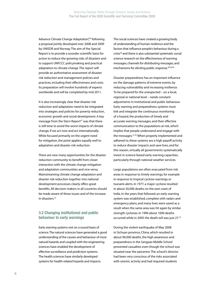Advance Climate Change Adaptation",<sup>36</sup> following a proposal jointly developed over 2008 and 2009 by UNISDR and Norway. The aim of the Special Report is to provide a sounder scientific basis for action to reduce the growing risks of disasters and to support UNFCCC policymaking and practical adaptation to climate change. The report will provide an authoritative assessment of disaster risk reduction and management policies and practices, including their effectiveness and costs. Its preparation will involve hundreds of experts worldwide and will be completed by mid 2011.

It is also increasingly clear that disaster risk reduction and adaptation need to be integrated into strategies and policies for poverty reduction, economic growth and social development. A key message from the Stern Report<sup>37</sup> was that there is still time to avoid the worst impacts of climate change, if we act now and act internationally. While focused primarily on the urgent need for mitigation, the point applies equally well to adaptation and disaster risk reduction.

There are now many opportunities for the disaster reduction community to benefit from closer interaction with the climate change mitigation and adaptation communities and vice-versa. Mainstreaming climate change adaptation and disaster risk reduction together into national development processes clearly offers great benefits. All decision makers in all countries should be made aware of these issues and of the increase in disasters.32

#### **3.2 Changing institutional and public behaviour to early warnings**

Early warning systems rest on a sound basis of science. The natural sciences have generated a good understanding of the causes and behaviour of most natural hazards and coupled with the engineering sciences have enabled the development of effective surveillance and prediction systems. The health sciences have similarly developed systems for health-related hazards and impacts.

The social sciences have created a growing body of understanding of human resilience and the factors that influence people's behaviour during a crisis<sup>38</sup> and there is also substantial systematic social science research on the effectiveness of warning messages, channels for distributing messages, and mechanisms for eliciting public response.<sup>38,39,40</sup>

Disaster preparedness has an important influence on the damage patterns of extreme events, by reducing vulnerability and increasing resilience. To be prepared for the unexpected – on a local, regional or national level – needs constant adjustments in institutional and public behaviour. Early warning and preparedness systems must link and integrate the continuous monitoring of a hazard, the production of timely and accurate warning messages, and their effective communication to the populations at risk, which implies that people understand and engage with the messages.<sup>41,42</sup> When properly implemented and adhered to, these systems are a high-payoff activity to reduce disaster impacts and save lives, and for this reason, virtually all governments systematically invest in science-based early warning capacities, particularly through national weather services.

Large populations are often evacuated from risk areas in response to timely warnings, for example in response to tropical cyclone warnings or tsunami alerts. In 1977, a major cyclone resulted in about 20,000 deaths on the east coast of India. In the years that followed, an early warning system was established, complete with radars and emergency plans, and many lives were saved as a result when the same area was hit again by similar strength cyclones: in 1996 about 1000 deaths occurred while in 2005 the death toll was just 27.<sup>22</sup>

During the violent earthquake of May 2008 in Sichuan province, China, which resulted in about 90,000 deaths, the high awareness and preparedness in the Sangzao Middle School prevented casualties even though the school was situated near the epicentre. The school's director had been very conscious of the risks associated with seismic activity and had required students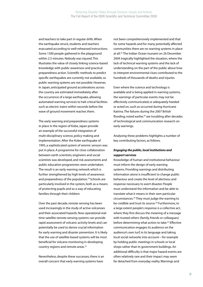and teachers to take part in regular drills. When the earthquake struck, students and teachers evacuated according to well-rehearsed instructions. Some 1500 people gathered in the playground within 2.5 minutes. Nobody was injured. This illustrates the value of closely linking science-based knowledge with public awareness and practical preparedness action. Scientific methods to predict specific earthquakes are currently not available, so public warning systems are not possible. However, in Japan, anticipated ground accelerations across the country are estimated immediately after the occurrence of a large earthquake, allowing automated warning services to halt critical facilities such as electric trains within seconds before the wave of ground movement reaches them.

The early warning and preparedness systems in place in the region of Kobe, Japan provide an example of the successful integration of multi-disciplinary science, policy-making and implementation. After the Kobe earthquake of 1995, a sophisticated system of seismic sensors was put in place. A programme for close collaboration between earth scientists, engineers and social scientists was developed, and risk assessments and public education programmes were undertaken. The result is an early warning network which is further strengthened by high levels of awareness and preparedness of the population.<sup>24</sup> Schools are particularly involved in the system, both as a means of protecting pupils and as a way of educating families through their children.

Over the past decade, remote sensing has been used increasingly in the study of active volcanoes and their associated hazards. Now operational realtime satellite remote sensing systems can provide rapid assessment of volcanic activity levels and can potentially be used to derive crucial information for early warning and disaster prevention. It is likely that the use of satellite-based systems will be most beneficial for volcano monitoring in developing country regions and remote areas.<sup>23</sup>

Nevertheless, despite these successes, there is an overall concern that early warning systems have

not been comprehensively implemented and that for some hazards and for many potentially affected communities there are no warning systems in place at all.43 The Indian Ocean tsunami on 26 December 2004 tragically highlighted the situation, where the lack of technical warning systems and the lack of understanding on the part of the public about how to interpret environmental clues contributed to the hundreds of thousands of deaths and injuries.

Even where the science and technology is available and is being applied in warning systems, the warnings of particular events may not be effectively communicated, or adequately heeded or acted on, such as occurred during Hurricane Katrina. The failures during the 2007 British flooding, noted earlier, $29$  are troubling after decades of technological and communication research on early warnings.

Analysing these problems highlights a number of key contributing factors, as follows.

#### *Engaging the public, local institutions and support services*

Knowledge of human and institutional behaviour must inform the design of early warning systems. Providing warnings and distributing information alone is insufficient to change public behaviour and create the level of alertness and response necessary to avert disaster. People must understand the information and be able to translate what it means in their own particular circumstances.29 They must judge the warning to be credible and trust its source.<sup>44</sup> Furthermore, to a large extent people's response is a collective act, where they first discuss the meaning of a message with trusted others (family, friends or colleagues) before determining what action to take.<sup>45</sup> Effective communication engages its audience on the audience's own turf, in its language and taking local social networks into account—for example by holding public meetings in schools or local shops rather than in government buildings. An additional difficulty is that major hazard events are often relatively rare and their impact may seem far detached from everyday reality. Warnings and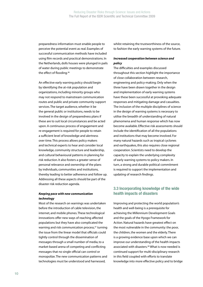preparedness information must enable people to perceive the potential event as real. Examples of successful communication methods have included using film records and practical demonstrations. In the Netherlands, dolls houses were plunged in pails of water during public meetings to demonstrate the effect of flooding.46

An effective early warning policy should begin by identifying the at-risk population and organizations, including minority groups who may not respond to mainstream communication routes and public and private community support services. The target audience, whether it be the general public or institutions, needs to be involved in the design of preparedness plans if these are to suit local circumstances and be acted upon. A continuous process of engagement and re-engagement is required for people to retain a sufficient level of knowledge and alertness over time. This process allows policy makers and technical experts to hear and consider local knowledge, community structure and leadership, and cultural behavioural patterns in planning for risk reduction. It also fosters a greater sense of personal relevance and ownership of the plans by individuals, communities and institutions, thereby leading to better adherence and follow up. Addressing all these aspects should be part of the disaster risk reduction agenda.

#### *Keeping pace with new communication technology*

Most of the research on warnings was undertaken before the introduction of cable television, the internet, and mobile phones. These technological innovations offer new ways of reaching affected populations but they have also complicated the warning and risk communication process,<sup>47</sup> turning the issue from the linear model that officials could tightly control through the dissemination of messages through a small number of media, to a market-based arena of competing and conflicting messages that no single official can control or monopolize. The new communication patterns and technologies must be understood and harnessed,

whilst retaining the trustworthiness of the source, to fashion the early warning systems of the future.

#### *Increased cooperation between science and policy*

The difficulties and examples discussed throughout this section highlight the importance of close collaboration between research, engineering and policy-making. Only when the three have been drawn together in the design and implementation of early warning systems have these been successful at provoking adequate responses and mitigating damage and casualties. The inclusion of the multiple disciplines of science in the design of warning systems is necessary to utilise the breadth of understanding of natural phenomena and human response which has now become available. Effective risk assessments should include the identification of all the populations and institutions that may become involved. For many natural hazards such as tropical cyclones and earthquakes, this also requires close regional cooperation. Scientists need to develop the capacity to explain the underlying complexity of early warning systems to policy makers. In turn, a strong and durable political commitment is required to support the implementation and updating of research findings.

#### **3.3 Incorporating knowledge of the wide health impacts of disasters**

Improving and protecting the world population's health and well-being is a prerequisite for achieving the Millennium Development Goals and the goals of the Hyogo Framework for Action. Natural hazards have greatest effect on the most vulnerable in the community: the poor, the children, the women and the elderly. There is a growing evidence base upon which we can improve our understanding of the health impacts associated with disasters.<sup>48</sup> What is now needed is continued support for multi-disciplinary research in this field coupled with efforts to translate knowledge into more effective policy and to bridge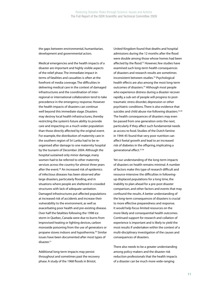the gaps between environmental, humanitarian, development and governmental actors.

Medical emergencies and the health impacts of a disaster are important and highly visible aspects of the relief phase. The immediate impact in terms of fatalities and casualties is often at the forefront of media coverage. The difficulties in delivering medical care in the context of damaged infrastructures and the coordination of interregional or international collaboration tend to take precedence in the emergency response. However the health impacts of disasters can continue well beyond this immediate stage. Disasters may destroy local health infrastructures, thereby restricting the system's future ability to provide care and impacting on a much wider population than those directly affected by the original event. For example, the distribution of maternity care in the southern region of Sri Lanka had to be reorganised after damage to one maternity hospital by the tsunami of December 2004. Although the hospital sustained only minor damage, many women had to be referred to other maternity services across the country for almost three years after the event.<sup>49</sup> An increased risk of epidemics of infectious diseases has been observed after large disasters, particularly flooding, and in situations where people are sheltered in crowded structures with lack of adequate sanitation. Damaged infrastructures put affected populations at increased risk of accidents and increase their vulnerability to the environment, as well as exacerbating poor health and pre-existing disease. Over half the fatalities following the 1998 ice storm in Quebec, Canada were due to burns from improvised heating or lighting devices, carbon monoxide poisoning from the use of generators or propane stoves indoors and hypothermia.50 Similar issues have been documented after most types of disaster.<sup>51</sup>

Additional long-term impacts may persist throughout and sometimes past the recovery phase. A study of the 1968 floods in Bristol,

United Kingdom found that deaths and hospital admissions during the 12 months after the flood were double among those whose homes had been affected by the flood.<sup>52</sup> However, few studies have examined such long-term health consequences of disasters and research results are sometimes inconsistent between studies.<sup>53</sup> Psychological health effects are also among the most long-term outcomes of disasters.<sup>54</sup> Although most people who experience distress during a disaster recover rapidly, a sub-set of people will progress to posttraumatic stress disorder, depression or other psychiatric conditions. There is also evidence that suicides and child abuse rise following disasters.<sup>55,56</sup> The health consequences of disasters may even be passed from one generation onto the next, particularly if they affect such fundamental needs as access to food. Studies of the Dutch famine in 1944-45 found that very poor nutrition can affect foetal growth and lead to an increased risk of diabetes in the offspring, implicating a generational effect.57,58

Yet our understanding of the long-term impacts of disasters on health remains minimal. A number of factors make this type of research difficult and resource-intensive: the difficulties in followingup displaced populations for a long time, the inability to plan ahead for a pre-post disaster comparison, and other factors and events that may confound the results. A better understanding of the long-term consequences of disasters is crucial to more effective preparedness and response. It would help focus limited resources on the more likely and consequential health outcomes. Continued support for research and collation of experience is important and is likely to yield the most results if undertaken within the context of a multi-disciplinary investigation of the causes and consequences of disasters.

There also needs to be a greater understanding among policy-makers and the disaster risk reduction professionals that the health impacts of a disaster can be much more wide-ranging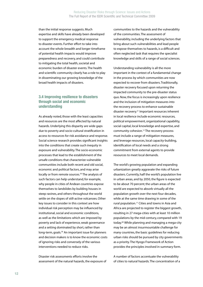than the initial response suggests. Much expertise and skills have already been developed to support the emergency medical response to disaster events. Further effort to take into account the whole breadth and longer timeframe of potential health impacts would improve preparedness and recovery, and could contribute to mitigating the total health, societal and economic burden of disaster events. The health and scientific community clearly has a role to play in disseminating our growing knowledge of the broad health impacts of disasters.

#### **3.4 Improving resilience to disasters through social and economic understanding**

As already noted, those with the least capacities and resources are the most affected by natural hazards. Underlying this disparity are wide gaps due to poverty and socio-cultural stratification in access to resources for risk avoidance and response. Social science research provides significant insights into the conditions that create such inequity in exposure and vulnerability. The socio-economic processes that lead to the establishment of the unsafe conditions that characterize vulnerable communities include both recent and old social, economic and political factors, and may arise locally or from remote sources.30 The analysis of such factors can help understand, for example, why people in cities of Andean countries expose themselves to landslides by building houses in steep ravines, and others throughout the world settle on the slopes of still-active volcanoes. Other key issues to consider in this context are how individual risk perception may be influenced by institutional, social and economic conditions, as well as the limitations which are imposed by poverty and lack of experience, weak governance and a setting dominated by short, rather than long-term, goals.<sup>59</sup> An important issue for planners and decision makers is to know the economic costs of ignoring risks and conversely of the various interventions needed to reduce risks.

Disaster risk assessments efforts involve the assessment of the natural hazards, the exposure of communities to the hazards and the vulnerability of the communities. The assessment of vulnerability, including the underlying factors that bring about such vulnerabilities and lead people to expose themselves to hazards, is a difficult and often neglected task that requires the specialist knowledge and skills of a range of social sciences.

Understanding vulnerability is all the more important in the context of a fundamental change in the process by which communities are now expected to recover from disasters. Traditionally, disaster recovery focused upon returning the impacted community to the pre-disaster status quo. Now, the focus is increasingly upon resilience and the inclusion of mitigation measures into the recovery process to enhance sustainable disaster recovery.<sup>21</sup> Important resources inherent in local resilience include economic resources, political empowerment, organizational capability, social capital, local knowledge and expertise, and community cohesion.12 The recovery process must include a range of mitigation measures, and leverage resources, local capacity-building, identification of local needs and a strong commitment from external agents to provide resources to meet local demands.

The world's growing population and expanding urbanization greatly aggravate the risks of future disasters. Currently, half the world's population live in urban areas, and by 2050, the figure is expected to be about 70 percent; the urban areas of the world are expected to absorb virtually all the population growth over the next four decades, while at the same time drawing in some of the rural population.17 Cities and towns in Asia and Africa are projected to register the biggest growth, resulting in 27 mega-cities with at least 10 million populations by the mid-century, compared with 19 today.60 While planning and managing a mega-city may be an almost insurmountable challenge for many countries, the basic guidelines for reducing urban risks should be pursued by city governments as a priority. The Hyogo Framework of Action provides the principles involved in summary form.

A number of factors accentuate the vulnerability of cities to natural hazards. The concentration of a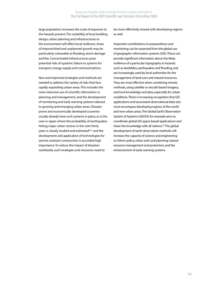large population increases the scale of exposure to the hazards present. The suitability of local building design, urban planning and infrastructures to the environment will affect local resilience. Areas of impoverished and unplanned growth may be particularly vulnerable to flooding, storm damage and fire. Concentrated infrastructures pose potential risks of systemic failure to systems for transport, energy supply and communications.

New and improved strategies and methods are needed to address the variety of risks that face rapidly expanding urban areas. This includes the more intensive use of scientific information in planning and management, and the development of monitoring and early warning systems tailored to growing and emerging urban areas. Disasterprone and economically developed countries usually already have such systems in place, as is the case in Japan where the probability of earthquakes hitting major urban centres in the next thirty years is closely studied and estimated<sup>7,61</sup> and the development and application of technologies for seismic resistant construction is accorded high importance. To reduce the impact of disasters worldwide, such strategies and resources need to

be more effectively shared with developing regions as well.

Important contributions to preparedness and monitoring can be expected from the global use of geographic information systems (GIS). These can provide significant information about the likely resilience of a particular topography to hazards such as landslides, earthquakes and flooding, and are increasingly used by local authorities for the management of land uses and natural resources. They are most effective when combining remote methods, using satellite or aircraft-based imagery, and local knowledge and data, especially for urban conditions. There is increasing recognition that GIS applications and associated observational data sets must encompass developing regions of the world and new urban areas. The Global Earth Observation System of Systems (GEOSS) for example aims to coordinate global GIS space-based applications and share the knowledge with all nations.<sup>62</sup> The global development of earth observation methods will increase the capacity of science and engineering to inform policy, urban and rural planning, natural resource management and protection, and the enhancement of early warning systems.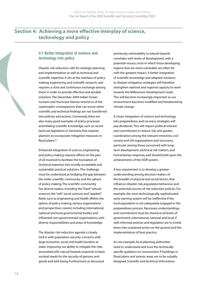### **Section 4: Achieving a more effective interplay of science, technology and policy**

#### **4.1 Better integration of science and technology into policy**

Disaster risk reduction calls for strategic planning and implementation as well as technical and scientific expertise. It sits at the interface of policymaking, engineering and scientific research, and requires a close and continuous exchange among these in order to provide effective and durable solutions. The December 2004 Indian Ocean tsunami and Hurricane Katrina remind us of the catastrophic consequences that can ensue when scientific and technical findings are not transferred into policies and actions. Conversely, there are also many good examples of policy processes assimilating scientific knowledge, such as recent land-use legislation in Germany that requires planners to incorporate mitigation measures in flood plains.<sup>63</sup>

Enhanced integration of science, engineering and policy-making requires efforts on the part of all involved to facilitate the translation of technical expertise into socially acceptable and sustainable practical solutions. The challenge must be understood as bridging the gap between the wider scientific community and the sphere of policy-making. The scientific community has diverse realms, including the "hard" natural sciences, the "soft" social sciences and "applied" fields such as engineering and health. Within the sphere of policy-making, various organisations and perspectives coexist, including international, national and local governmental bodies and influential non-governmental organisations, with diverse responsibilities and areas of knowledge.

The disaster risk reduction agenda is closely tied in with population security concerns, with large economic, social and health burdens at stake. Improving our ability to mitigate the risks associated with natural hazards responds to basic societal needs for the security of persons and goods and well-being. Furthermore, as discussed

previously, vulnerability to natural hazards correlates with levels of development, with a potential vicious circle in which those developing regions that are most vulnerable are often hit with the greatest impact. A better integration of scientific knowledge and adapted solutions to disaster mitigation strategies will therefore strengthen national and regional capacity to work towards the Millennium Development Goals. This will become increasingly important as our environment becomes modified and threatened by climate change.

A closer integration of science and technology into preparedness and recovery strategies will pay dividends. This will require political interest and commitment to reduce risk, and greater coordination among the relevant ministries, civil society and UN organizations and structures, particular among those concerned with longterm development, technical risk matters, and humanitarian response, and should build upon the achievements of the ISDR system.

A key requirement is to develop a greater understanding among decision-makers of the breadth of physical and social factors that influence disaster risk, population behaviour and the potential success of risk reduction policies. For example, the most technologically sophisticated early warning system will be ineffective if the local population is not adequately engaged in the preparedness process. Necessary understandings and commitment must be shared at all levels of government, international, national and local, if well-informed policies and legislation are to trickle down into sustained action on the ground and the implementation of best practice.

As one example, local planning authorities need to understand and trust the technically specific guidance on construction if buildings in flood plains and seismic areas are to be suitably designed. Scientific and technical information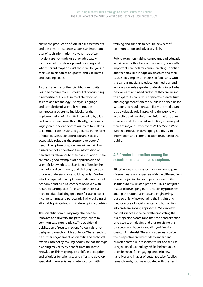allows the production of robust risk assessments, and the private insurance sector is an important user of such information. However, too often risk data are not made use of or adequately incorporated into development planning, and where hazard maps do exist there can be gaps in their use to elaborate or update land-use norms and building codes.

A core challenge for the scientific community lies in becoming more successful at contributing its expertise outside its immediate world of science and technology. The style, language and complexity of scientific writings are well-recognised stumbling blocks for the implementation of scientific knowledge by a lay audience. To overcome this difficulty, the onus is largely on the scientific community to take steps to communicate results and guidance in the form of simplified, feasible, affordable and sociallyacceptable solutions that respond to people's needs. The uptake of guidelines will remain low if users cannot understand the information or perceive its relevance to their own situation. There are many good examples of popularisation of scientific knowledge, such as joint efforts by the seismological community and civil engineers to produce understandable building codes. Further effort is required to adapt them to different social, economic and cultural contexts, however. With regard to earthquakes, for example, there is a need to adapt building guidance for use in lowerincome settings, and particularly in the building of affordable private housing in developing countries.

The scientific community may also need to innovate and diversify the pathways it uses to communicate expert advice. The traditional publication of results in scientific journals is not designed to reach a wide audience. There needs to be further engagement of scientific and technical experts into policy-making bodies, so that strategic planning may directly benefit from the latest knowledge. This may require a shift in perception and priorities for scientists, and efforts to develop specialist intermediaries or interlocutors, with

training and support to acquire new sets of communication and advocacy skills.

Public awareness-raising campaigns and education activities at both school and university levels offer important channels for communicating scientific and technical knowledge on disasters and their causes. This implies an increased familiarity with the various media and education methods, and working towards a greater understanding of what people want and need and what they are willing to adapt to. It can in return generate greater trust and engagement from the public in science-based systems and regulations. Similarly, the media can play a valuable role in providing the public with accessible and well-informed information about disasters and disaster risk reduction, especially at times of major disaster events.<sup>64</sup> The World Wide Web in particular is developing rapidly as an information and communication resource for the public.

#### **4.2 Greater interaction among the scientific and technical disciplines**

Effective routes to disaster risk reduction require diverse means and expertise, with the different fields of science joining forces to produce well-suited solutions to risk-related problems. This is not just a matter of developing trans-disciplinary processes among the natural sciences and engineering, but also of fully incorporating the insights and methodology of social sciences and humanities into problem-solving approaches. We can view natural science as the bellwether indicating the risk of specific hazards and the scope and direction of related technologies, and thus providing the prospects and hope for avoiding, minimizing or overcoming the risk. The social sciences provide the perspective and methods to understand human behaviour in response to risk and the use or rejection of technology, while the humanities provide means for engaging people in new narratives and images of better practice. Applied research fields, such as associated with the health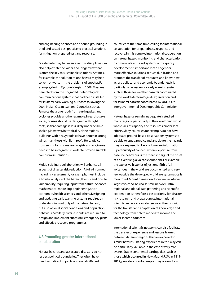and engineering sciences, add a sound grounding in tried-and-tested best practice to practical solutions for mitigation, preparedness and response.

Greater interplay between scientific disciplines can also help create the wider and longer view that is often the key to sustainable solutions. At times, for example, the solution to one hazard may help solve—or worsen—the problems of another. For example, during Cyclone Nargis in 2008, Myanmar benefited from the upgraded meteorological communications systems that had been installed for tsunami early warning purposes following the 2004 Indian Ocean tsunami. Countries such as Jamaica that suffer both from earthquakes and cyclones provide another example. In earthquake zones, houses should be designed with light roofs, so that damage is less likely under seismic shaking. However, in tropical cyclone regions, buildings with heavy roofs behave better in strong winds than those with light roofs. Here, advice from seismologists, meteorologists and engineers needs to be integrated in order to provide suitable compromise solutions.

Multidisciplinary collaboration will enhance all aspects of disaster risk reduction. A fully-informed hazard risk assessment, for example, must include a holistic analysis of the hazard, the risk and on-site vulnerability, requiring input from natural sciences, mathematical modelling, engineering, socioeconomics, health sciences and others. Designing and updating early warning systems requires an understanding not only of the natural hazard, but also of local social conditions and population behaviour. Similarly diverse inputs are required to design and implement successful emergency plans and effective recovery programmes.

#### **4.3 Promoting greater international collaboration**

Natural hazards and associated disasters do not respect political boundaries. They often have direct or indirect impacts on several different

countries at the same time, calling for international collaboration for preparedness, response and recovery. In this context, international cooperation on natural hazard monitoring and characterization, common data and alert systems and capacity development is important. It can engender more effective solutions, reduce duplication and promote the transfer of resources and know-how across political and economic boundaries. It is particularly necessary for early warning systems, such as those for weather hazards coordinated by the World Meteorological Organization and for tsunami hazards coordinated by UNESCO's Intergovernmental Oceanographic Commission.

Natural hazards remain inadequately studied in many regions, particularly in the developing world where lack of capacity and resources hinder local efforts. Many countries, for example, do not have adequate ground-based observations systems to be able to study, predict and anticipate the hazards they are exposed to. Lack of baseline information is particularly of concern where departure from baseline behaviour is the means to signal the onset of an event (e.g. a volcanic eruption). For example, the explosive histories of just one-fifth of all volcanoes in the world are documented, and very few outside the developed world are systematically monitored. Mount Cameroon, for example, Africa's largest volcano, has no seismic network. Intraregional and global data gathering and scientific cooperation is therefore a basic priority for disaster risk research and preparedness. International scientific networks can also serve as the conduit for the transfer and adaptation of knowledge and technology from rich to moderate-income and lower-income countries.

International scientific networks can also facilitate the transfer of experience and lessons learned between different regions that are exposed to similar hazards. Sharing experience in this way can be particularly valuable in the case of very rare events. Stable continental earthquakes, such as those which occurred in New Madrid, USA in 1811- 1812, provide a good example. They are unlikely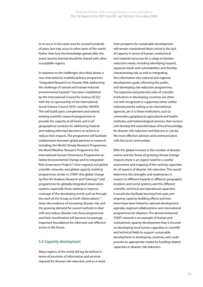to re-occur in the same area for several hundreds of years, but may occur in other parts of the world. Rather than lose the knowledge gained after the event, lessons learned should be shared with other susceptible regions.

In response to the challenges described above, a new international, multidisciplinary programme "Integrated Research on Disaster Risk: addressing the challenge of natural and human-induced environmental hazards"6 has been established by the International Council for Science (ICSU) with the co-sponsorship of the International Social Science Council (ISSC) and the UNISDR. This will build upon, complement and extend existing scientific research programmes to provide the capacity at all levels and in all geographical contexts for addressing hazards and making informed decisions on actions to reduce their impacts. The programme will facilitate collaboration between global partners in research, including: the World Climate Research Programme; the World Weather Research Programme; the International Human Dimensions Programme on Global Environmental Change and its Integrated Risk Governance Project;<sup>65</sup> intra-regional and global scientific networks and global capacity building programmes similar to START (the global change SysTem for Analysis, Research and Training);<sup>66</sup> and programmes for globally integrated observation systems, especially those seeking to improve coverage of the developing world, such as through the work of the Group on Earth Observations.<sup>62</sup> Given the evidence of increasing disaster risk, and the growing demand for sound methods to deal with and reduce disaster risk, these programmes and their coordination will become increasingly important foundations for informed cost-effective action in the future.

#### **4.4 Capacity development**

Many regions of the world still lag far behind in terms of provision of information and services required for disaster risk reduction, and as a result

their prospects for sustainable development will remain constrained. Most critical is the lack of capacity in terms of human, institutional and material resources for a range of disaster reduction needs, including identifying hazards, exposure levels and vulnerabilities and thereby characterizing risk, as well as integrating this information into national and regional development goals, informing the public, and developing risk reduction programmes. The expertise and potential roles of scientific institutions in developing countries are often not well recognised or supported, either within national priority setting or by international agencies, yet it is these institutions, such as universities, geophysical, agricultural and health institutes, and meteorological services, that nurture and develop the essential bases of local knowledge for disaster risk reduction and that are, or can be, the most effective advisors and communicators with the local communities.

With the global increase in the number of disaster events and the threat of growing climate change impacts, there is an urgent need for a careful assessment and mapping of the existing capacities for all aspects of disaster risk reduction. This would determine the strengths and weaknesses in respect to different hazards in different geographic locations and social systems, and the different scientific, technical and operational capacities. It would also facilitate learning from past and ongoing capacity-building efforts and how these have been linked to national development agendas, regional collaborations and international programmes for disasters. The abovementioned START network is an example of human and institutional capacity development that is focused on developing local human capacities in scientific and technical fields to support sustainable development in developing countries, and could provide an appropriate model for building related capacities in disaster risk reduction.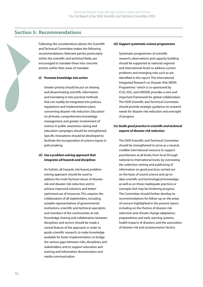#### **Section 5: Recommendations**

Following the considerations above, the Scientific and Technical Committee makes the following recommendations. Relevant parties, particularly within the scientific and technical fields, are encouraged to translate these into concrete actions within their areas of mandate.

#### *(i) Promote knowledge into action*

Greater priority should be put on sharing and disseminating scientific information and translating it into practical methods that can readily be integrated into policies, regulations and implementation plans concerning disaster risk reduction. Education on all levels, comprehensive knowledge management, and greater involvement of science in public awareness-raising and education campaigns should be strengthened. Specific innovations should be developed to facilitate the incorporation of science inputs in policymaking.

#### *(ii) Use a problem-solving approach that integrates all hazards and disciplines*

An holistic, all-hazards, risk-based, problemsolving approach should be used to address the multi-factoral nature of disaster risk and disaster risk reduction and to achieve improved solutions and betteroptimised use of resources. This requires the collaboration of all stakeholders, including suitable representatives of governmental institutions, scientific and technical specialists and members of the communities at risk. Knowledge sharing and collaboration between disciplines and sectors should be made a central feature of the approach, in order to guide scientific research, to make knowledge available for faster implementation, to bridge the various gaps between risks, disciplines, and stakeholders, and to support education and training and information dissemination and media communication.

#### *(iii) Support systematic science programmes*

Systematic programmes of scientific research, observations and capacity building should be supported at national, regional and international levels to address current problems and emerging risks such as are identified in this report. The international Integrated Research on Disaster Risk (IRDR) Programme,<sup>6</sup> which is co-sponsored by ICSU, ISSC, and UNISDR, provides a new and important framework for global collaboration. The ISDR Scientific and Technical Committee should provide strategic guidance on research needs for disaster risk reduction and oversight of progress.

#### *(iv) Guide good practice in scientific and technical aspects of disaster risk reduction*

The ISDR Scientific and Technical Committee should be strengthened to serve as a neutral, credible international resource to support practitioners at all levels, from local through national to international levels, by overseeing the collection, vetting and publicising of information on good practices carried out on the basis of sound science and up-todate scientific and technological knowledge, as well as on those inadequate practices or concepts that may be hindering progress. The Committee should further develop its recommendations for follow-up on the areas of concern highlighted in the present report, including on the themes of disaster risk reduction and climate change adaptation, preparedness and early warning systems, health impacts of disasters, and the association of disaster risk and socioeconomic factors.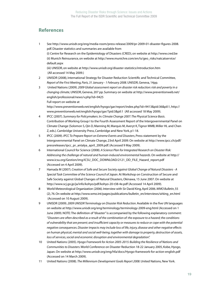#### **References**

1 See http://www.unisdr.org/eng/media-room/press-release/2009/pr-2009-01-disaster-figures-2008. pdf. Disaster statistics and summaries are available from (i) Centre for Research on the Epidemiology of Disasters (CRED), on website at http://www.cred.be (ii) Munich Reinsurance, on website at http://www.munichre.com/en/ts/geo\_risks/natcatservice/ default.aspx

(iii) UNISDR, on website at http://www.unisdr.org/disaster-statistics/introduction.htm (All accessed 14 May 2009.)

- 2 UNISDR (2008), International Strategy for Disaster Reduction Scientific and Technical Committee, *Report of the First Meeting, Paris, 31 January - 1 February 2008*. UNISDR, Geneva, 14pp.
- 3 United Nations (2009). *2009 Global assessment report on disaster risk reduction: risk and poverty in a changing climate*, UNISDR, Geneva, 207 pp. Summary on website at http://www.preventionweb.net/ english/professional/news/v.php?id=9425 Full report on website at

http://www.preventionweb.net/english/hyogo/gar/report/index.php?id=9413&pid:36&pil:1, http:// www.preventionweb.net/english/hyogo/gar/?pid:3&pil:1 (All accessed 18 May 2009).

- 4 IPCC (2007). *Summary for Policymakers*. In: *Climate Change 2007: The Physical Science Basis*. Contribution of Working Group I to the Fourth Assessment Report of the Intergovernmental Panel on Climate Change (Solomon S, Qin D, Manning M, Marquis M, Averyt K, Tignor MMB, Miller HL and Chen Z, eds.). Cambridge University Press, Cambridge and New York, p1-18.
- 5 IPCC (2009). *IPCC To Prepare Report on Extreme Events and Disasters*, Press statement by the Intergovernmental Panel on Climate Change, 23rd April 2009. On website at http://www.ipcc.ch/pdf/ pressreleases/ipcc\_pr\_antalya\_april\_2009.pdf. (Accessed 9 May 2009).
- 6 International Council for Science (2008). *A Science Plan for Integrated Research on Disaster Risk: Addressing the challenge of natural and human-induced environmental hazards*. On website at http:// www.icsu.org/Gestion/img/ICSU\_DOC\_DOWNLOAD/2121\_DD\_FILE\_Hazard\_report.pdf (Accessed on 4 April 2009).
- 7 Hamada M (2007). *Creation of Safe and Secure Society against Global Change of Natural Disasters A Special Task Committee of the Science Council of Japan*. At Workshop on Construction of Secure and Safe Society against Global Changes of Natural Disasters, Okinawa, 15 June 2007. On website at http://www.scj.go.jp/ja/info/kohyo/pdf/kohyo-20-t38-4e.pdf (Accessed 14 April 2009).
- 8 World Meteorological Organization (2006). Interview with Sir David King, April 2006. *WMO Bulletin*, 55 (2), 76. On website at http://www.wmo.int/pages/publications/bulletin\_en/interviews/sirking\_en.html (Accessed on 10 August 2009).
- 9 UNISDR (2009). *2009 UNISDR Terminology on Disaster Risk Reduction*. Available in the five UN languages on website at http://www.unisdr.org/eng/terminology/terminology-2009-eng.html (Accessed on 1 June 2009). NOTE: The definition of "disaster" is accompanied by the following explanatory comment: "*Disasters are often described as a result of the combination of: the exposure to a hazard; the conditions of vulnerability that are present; and insufficient capacity or measures to reduce or cope with the potential negative consequences. Disaster impacts may include loss of life, injury, disease and other negative effects on human physical, mental and social well-being, together with damage to property, destruction of assets, loss of services, social and economic disruption and environmental degradation".*
- 10 United Nations (2005). *Hyogo Framework for Action 2005-2015: Building the Resilience of Nations and Communities to Disasters*. World Conference on Disaster Reduction 18-22 January 2005, Kobe, Hyogo, Japan. On website at http://www.unisdr.org/eng/hfa/docs/Hyogo-framework-for-action-english.pdf (Accessed on 14 March 2009).
- 11 United Nations (2008). *The Millennium Development Goals Report 2008*. United Nations, New York.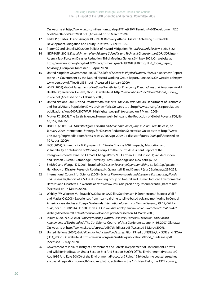On website at http://www.un.org/millenniumgoals/pdf/The%20Millennium%20Development%20 Goals%20Report%202008.pdf (Accessed on 30 March 2009).

- 12 Berke PR, Kartez JD and Wenger DE (1993). Recovery After a Disaster: Achieving Sustainable Development, Mitigation and Equity, *Disasters*, 17 (2): 93-109.
- 13 Prater CS and Lindell MK (2000). Politics of Hazard Mitigation. *Natural Hazards Review*, 1(2): 73-82.
- 14 ISDR-IATF (2001). *Establishment of an Advisory Scientific and Technical Group for the ISDR*. ISDR Inter-Agency Task Force on Disaster Reduction, Third Meeting, Geneva, 3-4 May 2001. On website at http://www.unisdr.org/eng/task%20force/tf-meetigns/3rd%20TF%20mtg/TF-3\_focus\_paper\_ Advisory\_Group.doc (Accessed 13 April 2009).
- 15 United Kingdom Government (2005). *The Role of Science in Physical Natural Hazard Assessment*, Report to the UK Government by the Natural Hazard Working Group Report, June 2005. On website at http:// www.berr.gov.uk/files/file8511.pdf (Accessed 1 January 2009).
- 16 WHO (2008). *Global Assessment of National Health Sector Emergency Preparedness and Response*. World Health Organization, Geneva, 76pp. On website at. http://www.who.int/hac/about/Global\_survey\_ inside.pdf (Accessed on 12 February 2009).
- 17 United Nations (2008). *World Urbanization Prospects The 2007 Revision*. UN Department of Economic and Social Affairs, Population Division, New York. On website at http://www.un.org/esa/population/ publications/wup2007/2007WUP\_Highlights\_web.pdf (Accessed on 9 March 2009).
- 18 Mutter JC (2005). The Earth Sciences, Human Well-Being, and the Reduction of Global Poverty, *EOS*, 86, 16, 157, 164-165.
- 19 UNISDR (2009). *CRED disaster figures: Deaths and economic losses jump in 2008*. Press Release, 22 January 2009, International Strategy for Disaster Reduction Secretariat. On website at http://www. unisdr.org/eng/media-room/press-release/2009/pr-2009-01-disaster-figures-2008.pdf Accessed on 10 August 2009).
- 20 IPCC (2007). *Summary for Policymakers*. In: Climate Change 2007: Impacts, Adaptation and Vulnerability. Contribution of Working Group II to the Fourth Assessment Report of the Intergovernmental Panel on Climate Change (Parry ML, Canziani OF, Palutikof JP, van der Linden PJ and Hanson CE, eds.), Cambridge University Press, Cambridge and New York, p7-22.
- 21 Smith G and Wenger D (2006). *Sustainable Disaster Recovery: Operationalizing an Existing Agenda.* In Handbook of Disaster Research, Rodriguez H, Quarantelli E and Dynes R (eds.) Springer, p234-258.
- 22 International Council for Science (2008). *Science Plan on Hazards and Disasters: Earthquakes, Floods and Landslides*, Report of ICSU ROAP Planning Group on Natural and Human Induced Environmental Hazards and Disasters. On website at http://www.icsu-asia-pacific.org/resourcecentre\_hazard.htm (Accessed on 14 March 2009).
- 23 Webley PW, Wooster MJ, Strauch W, Saballos JA, Dill K, Stephenson P, Stephenson J, Escobar Wolf R, and Matias O (2008). Experiences from near-real-time satellite-based volcano monitoring in Central America: case studies at Fuego, Guatemala. *International Journal of Remote Sensing*, 29, 22, 6621 – 6646, doi: 10.1080/01431160802168301. On website at http://www.kcl.ac.uk/content/1/c4/97/47/ WebelyWoosteretalCentralAmericanVolcanoes.pdf (Accessed on 14 March 2009).
- 24 Irikura K (2007*). SCA Joint Project Workshop 'Natural Disasters: Forecast, Prediction, and Hazard Assessments of Earthquakes'* . The 7th Science Council of Asia Conference, June 14-16, 2007, Okinawa. On website at http://www.scj.go.jp/en/sca/pdf/7th\_irikura.pdf (Accessed 3 March 2009).
- 25 United Nations (2004). *Guidelines for Reducing Flood Losses*. Pilon PJ (ed.), UNDESA, UNISDR, and NOAA (USA), 83pp. On website at http://www.un.org/esa/sustdev/publications/flood\_guidelines.pdf (Accessed 15 May 2009).
- 26 Government of India. Ministry of Environment and Forests (Department of Environment, Forests and Wildlife) Notification Under Section 3(1) And Section 3(2)(V) Of The Environment (Protection) Act, 1986 And Rule 5(3)(D) of the Environment (Protection) Rules, 1986 declaring coastal stretches as coastal regulation zone (CRZ) and regulating activities in the CRZ. New Delhi, the 19<sup>th</sup> February,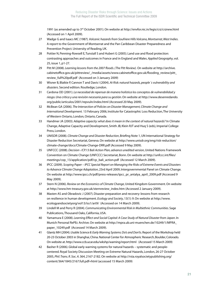1991 (as amended up to 3rd October 2001). On website at http://envfor.nic.in/legis/crz/crznew.html (Accessed on 1 April 2009).

- 27 Wadge G and Isaacs MC (1987). *Volcanic hazards from Soufriere Hills Volcano, Montserrat, West Indies*. A report to the Government of Montserrat and the Pan Caribbean Disaster Preparedness and Prevention Project. University of Reading, UK.
- 28 Pottier N, Penning-Rowsell E, Tunstall S and Hubert G (2005). Land use and flood protection: contrasting approaches and outcomes in France and in England and Wales. *Applied Geography*, vol. 25, issue 1, p1-27.
- 29 Pitt M (2008). *Learning lessons from the 2007 floods. (The Pitt Review).* On website at http://archive. cabinetoffice.gov.uk/pittreview/\_/media/assets/www.cabinetoffice.gov.uk/flooding\_review/pitt\_ review\_full%20pdf.pdf (Accessed on 3 January 2009)
- 30 Wisner B, Blaikie P, Cannon T and Davis I (2004). *At Risk: natural hazards, people´s vulnerability and disasters*. Second edition. Routledge, London.
- 31 Cardona OD (2001). *La necesidad de repensar de manera holística los conceptos de vulnerabilidad y riesgo. Una crítica y una revisión necesaria para su gestión*. On website at http://www.desenredando. org/public/articulos/2001/repvuln/index.html (Accessed 20 May 2009).
- 32 McBean GA (2006). *The Intersection of Policies on Disaster Management, Climate Change and International Development.* 13 February 2006, Institute for Catastrophic Loss Reduction, The University of Western Ontario, London, Ontario, Canada.
- 33 Handmer JA (2003). *Adaptive capacity: what does it mean in the context of natural hazards?* In Climate Change, Adaptive Capacity and Development, Smith JB, Klein RJT and Huq S (eds), Imperial College Press, London.
- 34 UNISDR (2008). *Climate Change and Disaster Reduction*, Briefing Note 1, UN International Strategy for Disaster Reduction Secretariat, Geneva. On website at http://www.unisdr.org/eng/risk-reduction/ climate-change/docs/Climate-Change-DRR.pdf (Accessed 9 May 2009).
- 35 UNFCCC (2008). *Decision -/CP.13 Bali Action Plan, advance unedited version*, United Nations Framework Convention on Climate Change (UNFCCC) Secretariat, Bonn. On website at http://unfccc.int/files/ meetings/cop\_13/application/pdf/cp\_bali\_action.pdf (Accessed 12 March 2009).
- 36 IPCC (2009). *Scoping Paper IPCC Special Report on Managing the Risks of Extreme Events and Disasters to Advance Climate Change Adaptation*, 23rd April 2009, Intergovernmental Panel on Climate Change. On website at http://www.ipcc.ch/pdf/press-releases/ipcc\_pr\_antalya\_april\_2009.pdf (Accessed 9 May 2009).
- 37 Stern N (2006). *Review on the Economics of Climate Change*, United Kingdom Government. On website at http://www.hm-treasury.gov.uk/sternreview\_index.htm (Accessed 2 January 2009).
- 38 Masten AS and Obradovic J (2007). Disaster preparation and recovery: lessons from research on resilience in human development. *Ecology and Society*, 13(1): 9. On website at http://www. ecologyandsocietyorg/vol13/iss1/art9/ (Accessed on 14 March 2009).
- 39 Lindell M and Perry R (2004). *Communicating Environmental Risk in Multiethnic Communities*. Sage Publications, Thousand Oaks, California, USA.
- 40 Yamamura E (2008). *Learning Effect and Social Capital: A Case Study of Natural Disaster from Japan*. In Munich Personal RePEc Archive. On website at http://mpra.ub.uni-muenchen.de/10249/1/MPRA\_ paper\_10249.pdf (Accessed 14 March 2009).
- 41 Glantz MH (2004). *Usable Science 8: Early Warning Systems: Do's and Don'ts*. Report of the Workshop held 20-23 October 2003 in Shanghai, China. National Center for Atmospheric Research, Boulder, Colorado. On website at. http://www.ccb.ucar.edu/wkshp/warning/report.html (Accessed 15 March 2009)
- 42 Basher R (2006). Global early warning systems for natural hazards systematic and peoplecentered. Royal Society Discussion Meeting on Extreme Natural Hazards, London, 26-27 October 2005, *Phil. Trans. R. Soc. A*. 364, 2167-2182. On website at http://rsta.royalsocietypublishing.org/ content/364/1845/2167.full.pdf+html (accessed 15 March 2009)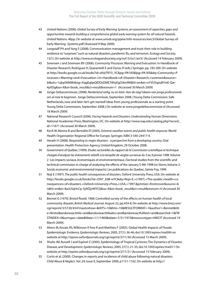- 43 United Nations (2006). *Global Survey of Early Warning Systems, an assessment of capacities, gaps and opportunities towards building a comprehensive global early warning system for all natural hazards*. United Nations. 46pp. On website at www.unisdr.org/ppew/info-resources/ewc3/Global-Survey-of-Early-Warning -Systems.pdf (Assessed 9 May 2009).
- 44 Longstaff PH and Yang S (2008). Communication management and trust: their role in building resilience to "surprises" such as natural disasters, pandemic flu, and terrorism. *Ecology and Society*, 13(1). On website at http://www.ecologyandsociety.org/vol13/iss1/art3/ (Accessed 14 February 2009).
- 45 Sorensen J and Sorensen BV (2006). *Community Processes: Warning and Evacuation*. In Handbook of Disaster Research, Rodriguez H, Quarantelli E and Dynes R (eds.) Springer, pp. 183-200. On website at http://books.google.co.uk/books?id=zfslzTKY3\_YC&pg=PA183&lpg=PA183&dq=Community+P rocesses:+Warning+and+Evacuation.+In+Handbook+of+Disaster+Research,+sorensen&source= bl&ots=1sjkpSKMMr&sig=XqgEq6pQIDDzDME7WtyEgOJbv9M&hl=en&ei=nYVUSqzuBYmE-Qar-4yXDg&sa=X&oi=book\_result&ct=result&resnum=1 (Accessed 30 March 2009)
- 46 Jonge Deltacommissie, (2008). *Nerderland veilig, nu en later: Aan de slag! Ideeen van jonge professionals om al mee te beginnen.* Jonge Deltacommissie, September 2008. [Young Delta Commission: Safe Netherlands, now and later: let's get started! Ideas from young professionals as a starting point. Young Delta Commission, September 2008.] On website at www.jongedeltacommissie.nl (Accessed 18 March 2009)
- 47 National Research Council (2006). *Facing Hazards and Disasters: Understanding Human Dimensions*. National Academies Press, Washington, DC. On website at http://www.nap.edu/catalog.php?record\_ id=11671 (Accessed 30 March 2009).
- 48 Kirch W, Menne B and Bertollini R (2005). *Extreme weather events and public health response*. World Health Organisation Regional Office for Europe. Springer, ISBN 3-540-24417-4.
- 49 Herath H (2008). *Responding to major disasters a perspective from a developing country*. Oral presentation. Health Protection Agency, United Kingdom, 29 October 2008.
- 50 Government of Québec (1999). *Etudes sectorielles du rapport de la Commission scientifique et technique chargée d'analyser les évènements relatifs a la tempête de verglas survenue du 5 au 9 janvier 1998.* Volume 2 : Les impacts sociaux, économiques et environnementaux. (Sectoral studies from the scientific and technical commission in charge of analysing the effects of the January 5-9th 1998 Ice Storm, Volume 2: Social, economic and environmental impacts). Les publications du Quebec, Sainte-Foy, 1999.
- 51 Noji E (1997). *The public health consequences of disasters*. Oxford University Press, USA. On website at http://books.google.co.uk/books?id=J3N7\_Ed8-wYC&dq=Noji+E.+(1997).+The+public+health+co nsequences+of+disasters.+Oxford+University+Press,+USA,+1997.&printsec=frontcover&source=b n&hl=en&ei=8aJUSqHcCp-5jAfZjvWYCQ&sa=X&oi=book\_result&ct=result&resnum=4 (Accessed 30 March 2009).
- 52 Bennet G (1970). Bristol floods 1968. Controlled survey of the effects on human health of local community disaster, *British Medical Journal,* August 22*,* pp.454-8. On website at http://www.bmj.com/ cgi/reprint/3/5720/454?maxtoshow=&HITS=10&hits=10&RESULTFORMAT=1&author1=Bennet&titl e=Bristol&andorexacttitle=and&andorexacttitleabs=and&andorexactfulltext=and&searchid=1&FIR STINDEX=0&sortspec=date&fdate=1/1/1969&tdate=7/31/1973&resourcetype=HWCIT (Accessed 19 March 2009).
- 53 Ahern M, Kovats RS, Wilkinson P, Few R and Matthies F (2005). Global Health Impacts of Floods: Epidemiologic Evidence. *Epidemiologic Reviews*, 2005, 27(1): 36-46; doi:10.1093/epirev/mxi004 on website at http://epirev.oxfordjournals.org/cgi/reprint/27/1/36 (Accessed 15 March 2009).
- 54 Shultz JM, Russell J and Espinel Z (2005). Epidemiology of Tropical Cyclones: The Dynamics of Disaster, Disease, and Development. *Epidemiologic Reviews*, 2005, 27(1): 21-35; doi:10.1093/epirev/mxi011 On website at http://epirev.oxfordjournals.org/cgi/reprint/27/1/21 (Accessed 15 February 2009).
- 55 Curtis et al. (2000). Changes in reports and incidence of child abuse following natural disasters. *Child Abuse & Neglect.* Vol. 24, Issue 9, September 2000, p1151-1162. On website at http://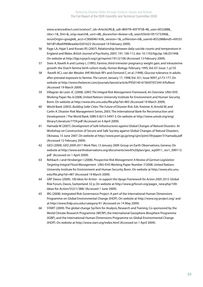www.sciencedirect.com/science?\_ob=ArticleURL&\_udi=B6V7N-40YYFSB-4&\_user=855288& rdoc=1&\_fmt=&\_orig=search&\_sort=d&\_docanchor=&view=c&\_searchStrId=951573396&\_ rerunOrigin=google&\_acct=C000046143&\_version=1&\_urlVersion=0&\_userid=855288&md5=69335 9d1df1dbe69968eaa0ec0201623 (Accessed 14 February 2009).

- 56 Page LA, Hajat S and Kovats RS (2007). Relationship between daily suicide counts and temperature in England and Wales. *British Journal of Psychiatry*, 2007, 191: 106-112. doi: 10.1192/bjp.bp.106.031948. On website at http://bjp.rcpsych.org/cgi/reprint/191/2/106 (Accessed 13 February 2009).
- 57 Stein A, Ravelli A and Lumey L (1995). Famine, third-trimester pregnancy weight gain, and intrauterine growth: the Dutch famine birth cohort study. *Human Biology*. February 1995, Vol. 67, Issue. 1; p135
- 58 Ravelli ACJ, van der Meulen JHP, Michels RPJ and Osmond C; et al. (1998). Glucose tolerance in adults after prenatal exposure to famine. *The Lancet*, January 17, 1998; Vol. 351, Issue 9097, p173-177. On website at http://www.thelancet.com/journals/lancet/article/PIIS0140-6736(97)07244-9/fulltext (Accessed 19 March 2009).
- 59 Villagrán de León JC (2008). *GIRO: The Integral Risk Management Framework, An Overview*. UNU-EHS Working Paper No. 6/2008, United Nations University Institute for Environment and Human Security, Bonn. On website at http://www.ehs.unu.edu/file.php?id=483 (Accessed 19 March 2009).
- 60 World Bank (2003). *Building Safer Cities: The Future of Disaster Risk*. Eds. Kreimer A, Arnold M, and Carlin A. Disaster Risk Management Series, 2003. The International Bank for Reconstruction and Development / The World Bank. ISBN 0-8213-5497-3. On website at http://www.unisdr.org/eng/ library/Literature/7759.pdf (Accessed on 4 April 2009).
- 61 Hamada M (2007). *Development of Safe Infrastructures against Global Changes of Natural Disasters.* At Workshop on Construction of Secure and Safe Society against Global Changes of Natural Disasters, Okinawa, 15 June 2007. On website at http://www.pwri.go.jp/eng/ujnr/joint/39/paper/31hamada.pdf (Accessed 12 February 2009).
- 62 GEO (2009). *GEO 2009-2011 Work Plan, 13 January 2009*. Group on Earth Observations, Geneva. On website at http://www.earthobservations.org/documents/work%20plan/geo\_wp0911\_rev1\_090113. pdf (Accessed on 1 April 2009).
- 63 Rehbach J and Hinsberger I (2008). *Prospective Risk Management: A Review of German Legislation Targeting Integral Flood Management*. UNU-EHS Working Paper Number 7/2008. United Nations University Institute for Environment and Human Security, Bonn. On website at http://www.ehs.unu. edu/file.php?id=487 (Accessed 19 March 2009).
- 64 GRF Davos (2009). *100 Ideas for Action to support the Hyogo Framework for Action 2005-2015*. Global Risk Forum, Davos, Switzerland. 32 p. On website at http://www.grforum.org/pages\_new.php/100- Ideas-for-Action/552/1/388/ (Accessed 1 June 2009).
- 65 IRG (2008). Integrated Risk Governance Project. A part of the International Human Dimensions Programme on Global Environmental Change (IHDP). On website at http://www.irg-project.org/ and at http://www.ihdp.unu.edu/category/41 (Accessed on 14 May 2009).
- 66 START (2009). The global change SysTem for Analysis, Research and Training. Co-sponsored by the World Climate Research Programme (WCRP), the International Geosphere-Biosphere Programme (IGBP), and the International Human Dimensions Programme on Global Environmental Change (IHDP). On website at http://www.start.org/index.html (Accessed on 1 April 2009).